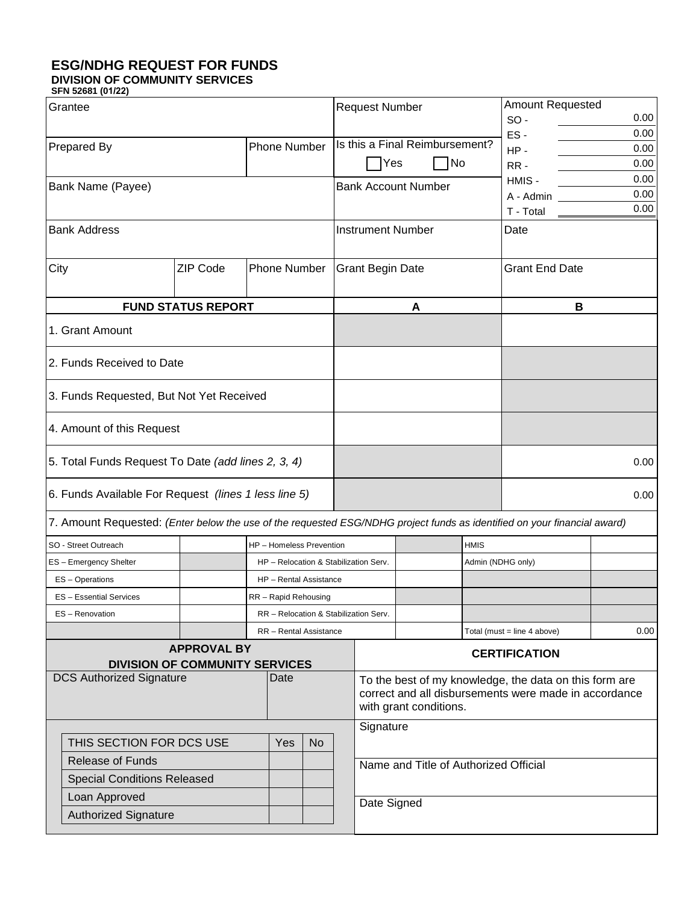## **ESG/NDHG REQUEST FOR FUNDS**

**DIVISION OF COMMUNITY SERVICES SFN 52681 (01/22)** 

| Grantee                                                                                                                  |                 | <b>Request Number</b>                 |  |                                                                                                                                           |                                | <b>Amount Requested</b> |                       |                                       |      |      |
|--------------------------------------------------------------------------------------------------------------------------|-----------------|---------------------------------------|--|-------------------------------------------------------------------------------------------------------------------------------------------|--------------------------------|-------------------------|-----------------------|---------------------------------------|------|------|
|                                                                                                                          |                 |                                       |  |                                                                                                                                           |                                |                         |                       | $SO -$                                |      | 0.00 |
| <b>Prepared By</b>                                                                                                       |                 |                                       |  |                                                                                                                                           | Is this a Final Reimbursement? |                         | ES-                   |                                       | 0.00 |      |
|                                                                                                                          |                 | <b>Phone Number</b>                   |  |                                                                                                                                           |                                |                         |                       | $HP -$                                |      | 0.00 |
|                                                                                                                          |                 |                                       |  | Yes                                                                                                                                       |                                | No                      |                       | RR-                                   |      | 0.00 |
| Bank Name (Payee)                                                                                                        |                 |                                       |  | <b>Bank Account Number</b>                                                                                                                |                                |                         |                       | 0.00<br>HMIS-                         |      |      |
|                                                                                                                          |                 |                                       |  |                                                                                                                                           |                                |                         |                       | A - Admin                             |      | 0.00 |
|                                                                                                                          |                 |                                       |  |                                                                                                                                           |                                |                         |                       | T - Total                             |      | 0.00 |
| <b>Bank Address</b>                                                                                                      |                 |                                       |  | <b>Instrument Number</b>                                                                                                                  |                                |                         |                       | Date                                  |      |      |
| City                                                                                                                     | <b>ZIP Code</b> | <b>Phone Number</b>                   |  | <b>Grant Begin Date</b>                                                                                                                   |                                |                         | <b>Grant End Date</b> |                                       |      |      |
| <b>FUND STATUS REPORT</b>                                                                                                |                 |                                       |  | A                                                                                                                                         |                                |                         | B                     |                                       |      |      |
| 1. Grant Amount                                                                                                          |                 |                                       |  |                                                                                                                                           |                                |                         |                       |                                       |      |      |
| 2. Funds Received to Date                                                                                                |                 |                                       |  |                                                                                                                                           |                                |                         |                       |                                       |      |      |
| 3. Funds Requested, But Not Yet Received                                                                                 |                 |                                       |  |                                                                                                                                           |                                |                         |                       |                                       |      |      |
| 4. Amount of this Request                                                                                                |                 |                                       |  |                                                                                                                                           |                                |                         |                       |                                       |      |      |
| 5. Total Funds Request To Date (add lines 2, 3, 4)                                                                       |                 |                                       |  |                                                                                                                                           |                                |                         |                       | 0.00                                  |      |      |
| 6. Funds Available For Request (lines 1 less line 5)                                                                     |                 |                                       |  |                                                                                                                                           |                                |                         |                       | 0.00                                  |      |      |
| 7. Amount Requested: (Enter below the use of the requested ESG/NDHG project funds as identified on your financial award) |                 |                                       |  |                                                                                                                                           |                                |                         |                       |                                       |      |      |
| SO - Street Outreach                                                                                                     |                 | <b>HP</b> - Homeless Prevention       |  | <b>HMIS</b>                                                                                                                               |                                |                         |                       |                                       |      |      |
| ES - Emergency Shelter                                                                                                   |                 | HP - Relocation & Stabilization Serv. |  | Admin (NDHG only)                                                                                                                         |                                |                         |                       |                                       |      |      |
| ES - Operations                                                                                                          |                 | HP - Rental Assistance                |  |                                                                                                                                           |                                |                         |                       |                                       |      |      |
| <b>ES-Essential Services</b>                                                                                             |                 | RR - Rapid Rehousing                  |  |                                                                                                                                           |                                |                         |                       |                                       |      |      |
| ES-Renovation                                                                                                            |                 | RR - Relocation & Stabilization Serv. |  |                                                                                                                                           |                                |                         |                       |                                       |      |      |
|                                                                                                                          |                 |                                       |  |                                                                                                                                           |                                |                         |                       | Total (must = line 4 above)           |      | 0.00 |
| RR - Rental Assistance<br><b>APPROVAL BY</b>                                                                             |                 |                                       |  |                                                                                                                                           |                                |                         |                       |                                       |      |      |
| <b>DIVISION OF COMMUNITY SERVICES</b>                                                                                    |                 |                                       |  | <b>CERTIFICATION</b>                                                                                                                      |                                |                         |                       |                                       |      |      |
| <b>DCS Authorized Signature</b><br>Date                                                                                  |                 |                                       |  |                                                                                                                                           |                                |                         |                       |                                       |      |      |
|                                                                                                                          |                 |                                       |  | To the best of my knowledge, the data on this form are<br>correct and all disbursements were made in accordance<br>with grant conditions. |                                |                         |                       |                                       |      |      |
|                                                                                                                          |                 |                                       |  | Signature                                                                                                                                 |                                |                         |                       |                                       |      |      |
| THIS SECTION FOR DCS USE<br>Yes<br><b>No</b>                                                                             |                 |                                       |  |                                                                                                                                           |                                |                         |                       |                                       |      |      |
| <b>Release of Funds</b>                                                                                                  |                 |                                       |  |                                                                                                                                           |                                |                         |                       |                                       |      |      |
| <b>Special Conditions Released</b>                                                                                       |                 |                                       |  |                                                                                                                                           |                                |                         |                       | Name and Title of Authorized Official |      |      |
| Loan Approved                                                                                                            |                 |                                       |  |                                                                                                                                           |                                |                         |                       |                                       |      |      |
|                                                                                                                          |                 |                                       |  | Date Signed                                                                                                                               |                                |                         |                       |                                       |      |      |
| <b>Authorized Signature</b>                                                                                              |                 |                                       |  |                                                                                                                                           |                                |                         |                       |                                       |      |      |